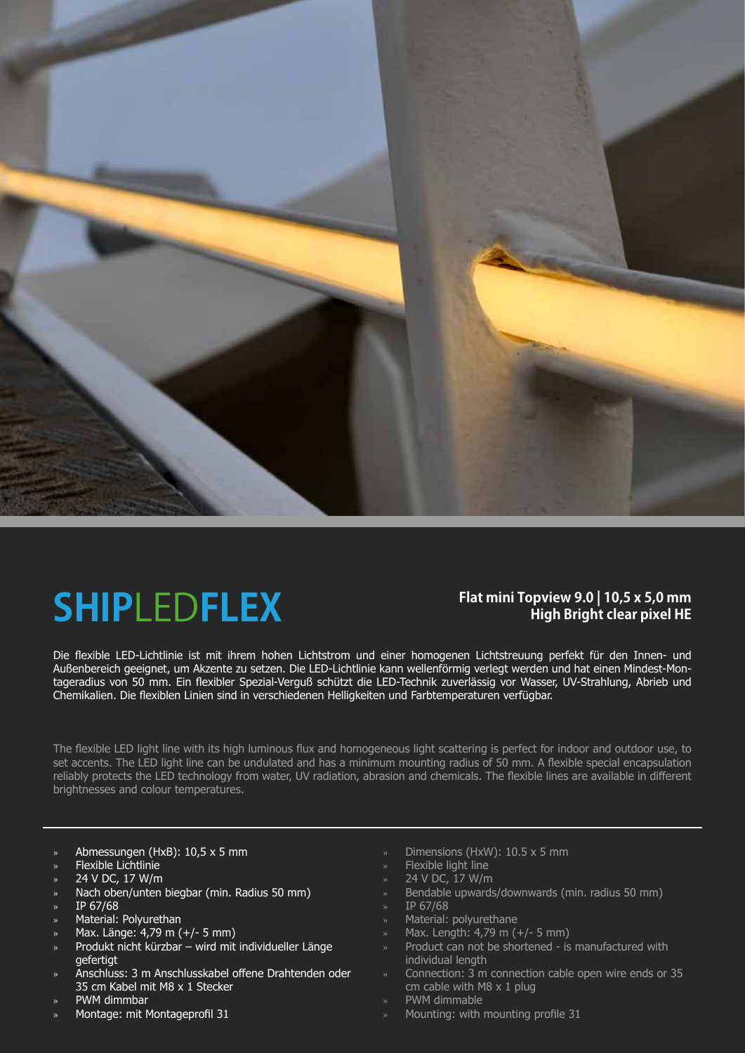

## **SHIP**LED**FLEX**

### **Flat mini Topview 9.0 | 10,5 x 5,0 mm High Bright clear pixel HE**

Die flexible LED-Lichtlinie ist mit ihrem hohen Lichtstrom und einer homogenen Lichtstreuung perfekt für den Innen- und Außenbereich geeignet, um Akzente zu setzen. Die LED-Lichtlinie kann wellenförmig verlegt werden und hat einen Mindest-Montageradius von 50 mm. Ein flexibler Spezial-Verguß schützt die LED-Technik zuverlässig vor Wasser, UV-Strahlung, Abrieb und Chemikalien. Die flexiblen Linien sind in verschiedenen Helligkeiten und Farbtemperaturen verfügbar.

The flexible LED light line with its high luminous flux and homogeneous light scattering is perfect for indoor and outdoor use, to set accents. The LED light line can be undulated and has a minimum mounting radius of 50 mm. A flexible special encapsulation reliably protects the LED technology from water, UV radiation, abrasion and chemicals. The flexible lines are available in different brightnesses and colour temperatures.

- » Abmessungen (HxB): 10,5 x 5 mm
- » Flexible Lichtlinie
- » 24 V DC, 17 W/m
- » Nach oben/unten biegbar (min. Radius 50 mm)
- » IP 67/68
- » Material: Polyurethan
- » Max. Länge: 4,79 m (+/- 5 mm)
- » Produkt nicht kürzbar wird mit individueller Länge gefertigt
- » Anschluss: 3 m Anschlusskabel offene Drahtenden oder 35 cm Kabel mit M8 x 1 Stecker
- » PWM dimmbar
- » Montage: mit Montageprofil 31
- » Dimensions (HxW): 10.5 x 5 mm
- » Flexible light line
- » 24 V DC, 17 W/m
- » Bendable upwards/downwards (min. radius 50 mm)
- » IP 67/68
- » Material: polyurethane
- » Max. Length: 4,79 m (+/- 5 mm)
- » Product can not be shortened is manufactured with individual length
- » Connection: 3 m connection cable open wire ends or 35 cm cable with M8 x 1 plug
- » PWM dimmable
- Mounting: with mounting profile 31